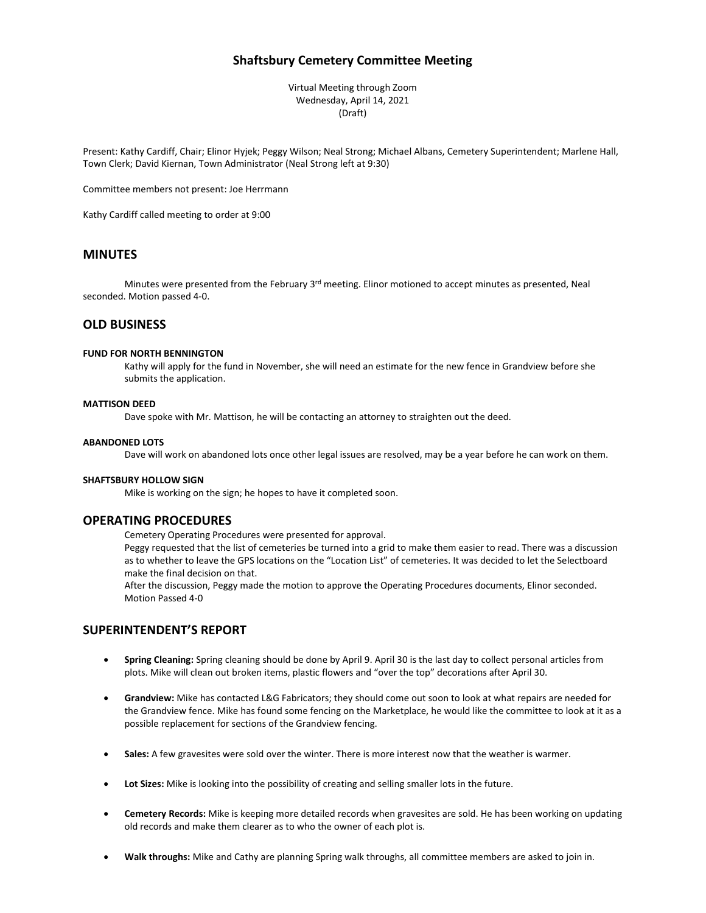# **Shaftsbury Cemetery Committee Meeting**

Virtual Meeting through Zoom Wednesday, April 14, 2021 (Draft)

Present: Kathy Cardiff, Chair; Elinor Hyjek; Peggy Wilson; Neal Strong; Michael Albans, Cemetery Superintendent; Marlene Hall, Town Clerk; David Kiernan, Town Administrator (Neal Strong left at 9:30)

Committee members not present: Joe Herrmann

Kathy Cardiff called meeting to order at 9:00

## **MINUTES**

Minutes were presented from the February 3<sup>rd</sup> meeting. Elinor motioned to accept minutes as presented, Neal seconded. Motion passed 4-0.

## **OLD BUSINESS**

#### **FUND FOR NORTH BENNINGTON**

Kathy will apply for the fund in November, she will need an estimate for the new fence in Grandview before she submits the application.

#### **MATTISON DEED**

Dave spoke with Mr. Mattison, he will be contacting an attorney to straighten out the deed.

#### **ABANDONED LOTS**

Dave will work on abandoned lots once other legal issues are resolved, may be a year before he can work on them.

#### **SHAFTSBURY HOLLOW SIGN**

Mike is working on the sign; he hopes to have it completed soon.

### **OPERATING PROCEDURES**

Cemetery Operating Procedures were presented for approval.

Peggy requested that the list of cemeteries be turned into a grid to make them easier to read. There was a discussion as to whether to leave the GPS locations on the "Location List" of cemeteries. It was decided to let the Selectboard make the final decision on that.

After the discussion, Peggy made the motion to approve the Operating Procedures documents, Elinor seconded. Motion Passed 4-0

### **SUPERINTENDENT'S REPORT**

- **Spring Cleaning:** Spring cleaning should be done by April 9. April 30 is the last day to collect personal articles from plots. Mike will clean out broken items, plastic flowers and "over the top" decorations after April 30.
- **Grandview:** Mike has contacted L&G Fabricators; they should come out soon to look at what repairs are needed for the Grandview fence. Mike has found some fencing on the Marketplace, he would like the committee to look at it as a possible replacement for sections of the Grandview fencing.
- **Sales:** A few gravesites were sold over the winter. There is more interest now that the weather is warmer.
- **Lot Sizes:** Mike is looking into the possibility of creating and selling smaller lots in the future.
- **Cemetery Records:** Mike is keeping more detailed records when gravesites are sold. He has been working on updating old records and make them clearer as to who the owner of each plot is.
- **Walk throughs:** Mike and Cathy are planning Spring walk throughs, all committee members are asked to join in.